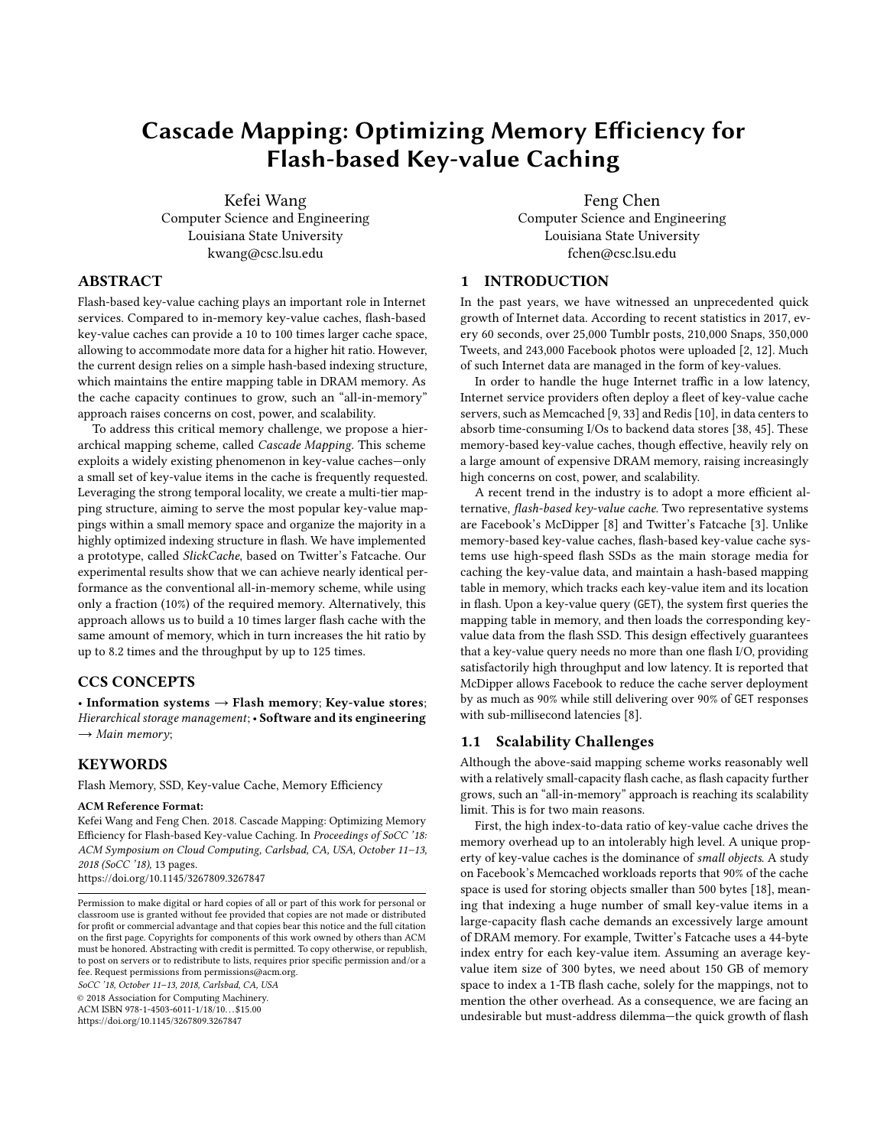# Cascade Mapping: Optimizing Memory Efficiency for Flash-based Key-value Caching

Kefei Wang Computer Science and Engineering Louisiana State University kwang@csc.lsu.edu

Feng Chen Computer Science and Engineering Louisiana State University fchen@csc.lsu.edu

## ABSTRACT

Flash-based key-value caching plays an important role in Internet services. Compared to in-memory key-value caches, flash-based key-value caches can provide a 10 to 100 times larger cache space, allowing to accommodate more data for a higher hit ratio. However, the current design relies on a simple hash-based indexing structure, which maintains the entire mapping table in DRAM memory. As the cache capacity continues to grow, such an "all-in-memory" approach raises concerns on cost, power, and scalability.

To address this critical memory challenge, we propose a hierarchical mapping scheme, called Cascade Mapping. This scheme exploits a widely existing phenomenon in key-value caches—only a small set of key-value items in the cache is frequently requested. Leveraging the strong temporal locality, we create a multi-tier mapping structure, aiming to serve the most popular key-value mappings within a small memory space and organize the majority in a highly optimized indexing structure in flash. We have implemented a prototype, called SlickCache, based on Twitter's Fatcache. Our experimental results show that we can achieve nearly identical performance as the conventional all-in-memory scheme, while using only a fraction (10%) of the required memory. Alternatively, this approach allows us to build a 10 times larger flash cache with the same amount of memory, which in turn increases the hit ratio by up to 8.2 times and the throughput by up to 125 times.

## CCS CONCEPTS

• Information systems  $\rightarrow$  Flash memory; Key-value stores; Hierarchical storage management; • Software and its engineering  $\rightarrow$  Main memory;

## **KEYWORDS**

Flash Memory, SSD, Key-value Cache, Memory Efficiency

#### ACM Reference Format:

Kefei Wang and Feng Chen. 2018. Cascade Mapping: Optimizing Memory Efficiency for Flash-based Key-value Caching. In Proceedings of SoCC '18: ACM Symposium on Cloud Computing, Carlsbad, CA, USA, October 11–13, 2018 (SoCC '18), [13](#page-12-0) pages. <https://doi.org/10.1145/3267809.3267847>

fee. Request permissions from permissions@acm.org. SoCC '18, October 11–13, 2018, Carlsbad, CA, USA

© 2018 Association for Computing Machinery.

ACM ISBN 978-1-4503-6011-1/18/10. . . \$15.00 <https://doi.org/10.1145/3267809.3267847>

1 INTRODUCTION

In the past years, we have witnessed an unprecedented quick growth of Internet data. According to recent statistics in 2017, every 60 seconds, over 25,000 Tumblr posts, 210,000 Snaps, 350,000 Tweets, and 243,000 Facebook photos were uploaded [\[2,](#page-12-1) [12\]](#page-12-2). Much of such Internet data are managed in the form of key-values.

In order to handle the huge Internet traffic in a low latency, Internet service providers often deploy a fleet of key-value cache servers, such as Memcached [\[9,](#page-12-3) [33\]](#page-12-4) and Redis [\[10\]](#page-12-5), in data centers to absorb time-consuming I/Os to backend data stores [\[38,](#page-12-6) [45\]](#page-12-7). These memory-based key-value caches, though effective, heavily rely on a large amount of expensive DRAM memory, raising increasingly high concerns on cost, power, and scalability.

A recent trend in the industry is to adopt a more efficient alternative, flash-based key-value cache. Two representative systems are Facebook's McDipper [\[8\]](#page-12-8) and Twitter's Fatcache [\[3\]](#page-12-9). Unlike memory-based key-value caches, flash-based key-value cache systems use high-speed flash SSDs as the main storage media for caching the key-value data, and maintain a hash-based mapping table in memory, which tracks each key-value item and its location in flash. Upon a key-value query (GET), the system first queries the mapping table in memory, and then loads the corresponding keyvalue data from the flash SSD. This design effectively guarantees that a key-value query needs no more than one flash I/O, providing satisfactorily high throughput and low latency. It is reported that McDipper allows Facebook to reduce the cache server deployment by as much as 90% while still delivering over 90% of GET responses with sub-millisecond latencies [\[8\]](#page-12-8).

## 1.1 Scalability Challenges

Although the above-said mapping scheme works reasonably well with a relatively small-capacity flash cache, as flash capacity further grows, such an "all-in-memory" approach is reaching its scalability limit. This is for two main reasons.

First, the high index-to-data ratio of key-value cache drives the memory overhead up to an intolerably high level. A unique property of key-value caches is the dominance of small objects. A study on Facebook's Memcached workloads reports that 90% of the cache space is used for storing objects smaller than 500 bytes [\[18\]](#page-12-10), meaning that indexing a huge number of small key-value items in a large-capacity flash cache demands an excessively large amount of DRAM memory. For example, Twitter's Fatcache uses a 44-byte index entry for each key-value item. Assuming an average keyvalue item size of 300 bytes, we need about 150 GB of memory space to index a 1-TB flash cache, solely for the mappings, not to mention the other overhead. As a consequence, we are facing an undesirable but must-address dilemma—the quick growth of flash

Permission to make digital or hard copies of all or part of this work for personal or classroom use is granted without fee provided that copies are not made or distributed for profit or commercial advantage and that copies bear this notice and the full citation on the first page. Copyrights for components of this work owned by others than ACM must be honored. Abstracting with credit is permitted. To copy otherwise, or republish, to post on servers or to redistribute to lists, requires prior specific permission and/or a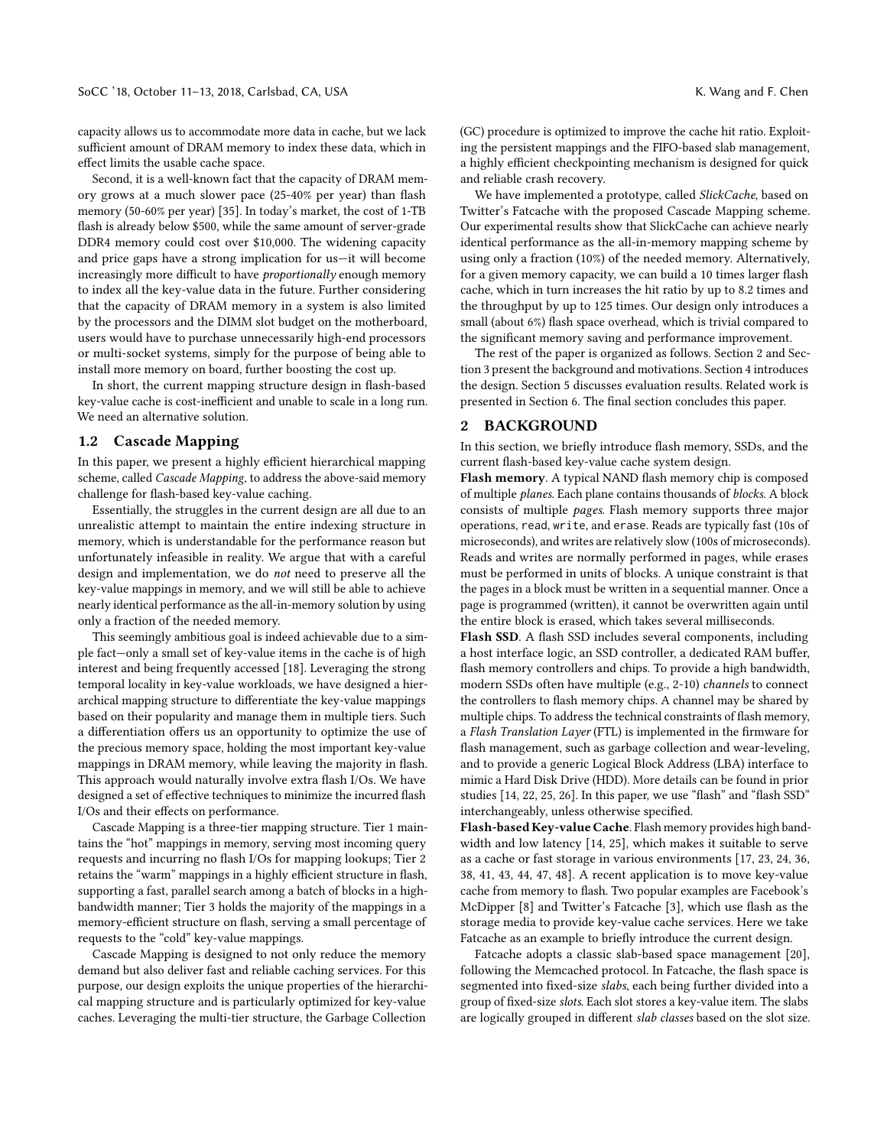capacity allows us to accommodate more data in cache, but we lack sufficient amount of DRAM memory to index these data, which in effect limits the usable cache space.

Second, it is a well-known fact that the capacity of DRAM memory grows at a much slower pace (25-40% per year) than flash memory (50-60% per year) [\[35\]](#page-12-11). In today's market, the cost of 1-TB flash is already below \$500, while the same amount of server-grade DDR4 memory could cost over \$10,000. The widening capacity and price gaps have a strong implication for us—it will become increasingly more difficult to have proportionally enough memory to index all the key-value data in the future. Further considering that the capacity of DRAM memory in a system is also limited by the processors and the DIMM slot budget on the motherboard, users would have to purchase unnecessarily high-end processors or multi-socket systems, simply for the purpose of being able to install more memory on board, further boosting the cost up.

In short, the current mapping structure design in flash-based key-value cache is cost-inefficient and unable to scale in a long run. We need an alternative solution.

## 1.2 Cascade Mapping

In this paper, we present a highly efficient hierarchical mapping scheme, called Cascade Mapping, to address the above-said memory challenge for flash-based key-value caching.

Essentially, the struggles in the current design are all due to an unrealistic attempt to maintain the entire indexing structure in memory, which is understandable for the performance reason but unfortunately infeasible in reality. We argue that with a careful design and implementation, we do not need to preserve all the key-value mappings in memory, and we will still be able to achieve nearly identical performance as the all-in-memory solution by using only a fraction of the needed memory.

This seemingly ambitious goal is indeed achievable due to a simple fact—only a small set of key-value items in the cache is of high interest and being frequently accessed [\[18\]](#page-12-10). Leveraging the strong temporal locality in key-value workloads, we have designed a hierarchical mapping structure to differentiate the key-value mappings based on their popularity and manage them in multiple tiers. Such a differentiation offers us an opportunity to optimize the use of the precious memory space, holding the most important key-value mappings in DRAM memory, while leaving the majority in flash. This approach would naturally involve extra flash I/Os. We have designed a set of effective techniques to minimize the incurred flash I/Os and their effects on performance.

Cascade Mapping is a three-tier mapping structure. Tier 1 maintains the "hot" mappings in memory, serving most incoming query requests and incurring no flash I/Os for mapping lookups; Tier 2 retains the "warm" mappings in a highly efficient structure in flash, supporting a fast, parallel search among a batch of blocks in a highbandwidth manner; Tier 3 holds the majority of the mappings in a memory-efficient structure on flash, serving a small percentage of requests to the "cold" key-value mappings.

Cascade Mapping is designed to not only reduce the memory demand but also deliver fast and reliable caching services. For this purpose, our design exploits the unique properties of the hierarchical mapping structure and is particularly optimized for key-value caches. Leveraging the multi-tier structure, the Garbage Collection

(GC) procedure is optimized to improve the cache hit ratio. Exploiting the persistent mappings and the FIFO-based slab management, a highly efficient checkpointing mechanism is designed for quick and reliable crash recovery.

We have implemented a prototype, called SlickCache, based on Twitter's Fatcache with the proposed Cascade Mapping scheme. Our experimental results show that SlickCache can achieve nearly identical performance as the all-in-memory mapping scheme by using only a fraction (10%) of the needed memory. Alternatively, for a given memory capacity, we can build a 10 times larger flash cache, which in turn increases the hit ratio by up to 8.2 times and the throughput by up to 125 times. Our design only introduces a small (about 6%) flash space overhead, which is trivial compared to the significant memory saving and performance improvement.

The rest of the paper is organized as follows. Section [2](#page-1-0) and Section [3](#page-2-0) present the background and motivations. Section [4](#page-2-1) introduces the design. Section [5](#page-6-0) discusses evaluation results. Related work is presented in Section [6.](#page-11-0) The final section concludes this paper.

#### <span id="page-1-0"></span>2 BACKGROUND

In this section, we briefly introduce flash memory, SSDs, and the current flash-based key-value cache system design.

Flash memory. A typical NAND flash memory chip is composed of multiple planes. Each plane contains thousands of blocks. A block consists of multiple pages. Flash memory supports three major operations, read, write, and erase. Reads are typically fast (10s of microseconds), and writes are relatively slow (100s of microseconds). Reads and writes are normally performed in pages, while erases must be performed in units of blocks. A unique constraint is that the pages in a block must be written in a sequential manner. Once a page is programmed (written), it cannot be overwritten again until the entire block is erased, which takes several milliseconds.

Flash SSD. A flash SSD includes several components, including a host interface logic, an SSD controller, a dedicated RAM buffer, flash memory controllers and chips. To provide a high bandwidth, modern SSDs often have multiple (e.g., 2-10) channels to connect the controllers to flash memory chips. A channel may be shared by multiple chips. To address the technical constraints of flash memory, a Flash Translation Layer (FTL) is implemented in the firmware for flash management, such as garbage collection and wear-leveling, and to provide a generic Logical Block Address (LBA) interface to mimic a Hard Disk Drive (HDD). More details can be found in prior studies [\[14,](#page-12-12) [22,](#page-12-13) [25,](#page-12-14) [26\]](#page-12-15). In this paper, we use "flash" and "flash SSD" interchangeably, unless otherwise specified.

Flash-based Key-value Cache. Flash memory provides high bandwidth and low latency [\[14,](#page-12-12) [25\]](#page-12-14), which makes it suitable to serve as a cache or fast storage in various environments [\[17,](#page-12-16) [23,](#page-12-17) [24,](#page-12-18) [36,](#page-12-19) [38,](#page-12-6) [41,](#page-12-20) [43,](#page-12-21) [44,](#page-12-22) [47,](#page-12-23) [48\]](#page-12-24). A recent application is to move key-value cache from memory to flash. Two popular examples are Facebook's McDipper [\[8\]](#page-12-8) and Twitter's Fatcache [\[3\]](#page-12-9), which use flash as the storage media to provide key-value cache services. Here we take Fatcache as an example to briefly introduce the current design.

Fatcache adopts a classic slab-based space management [\[20\]](#page-12-25), following the Memcached protocol. In Fatcache, the flash space is segmented into fixed-size slabs, each being further divided into a group of fixed-size slots. Each slot stores a key-value item. The slabs are logically grouped in different slab classes based on the slot size.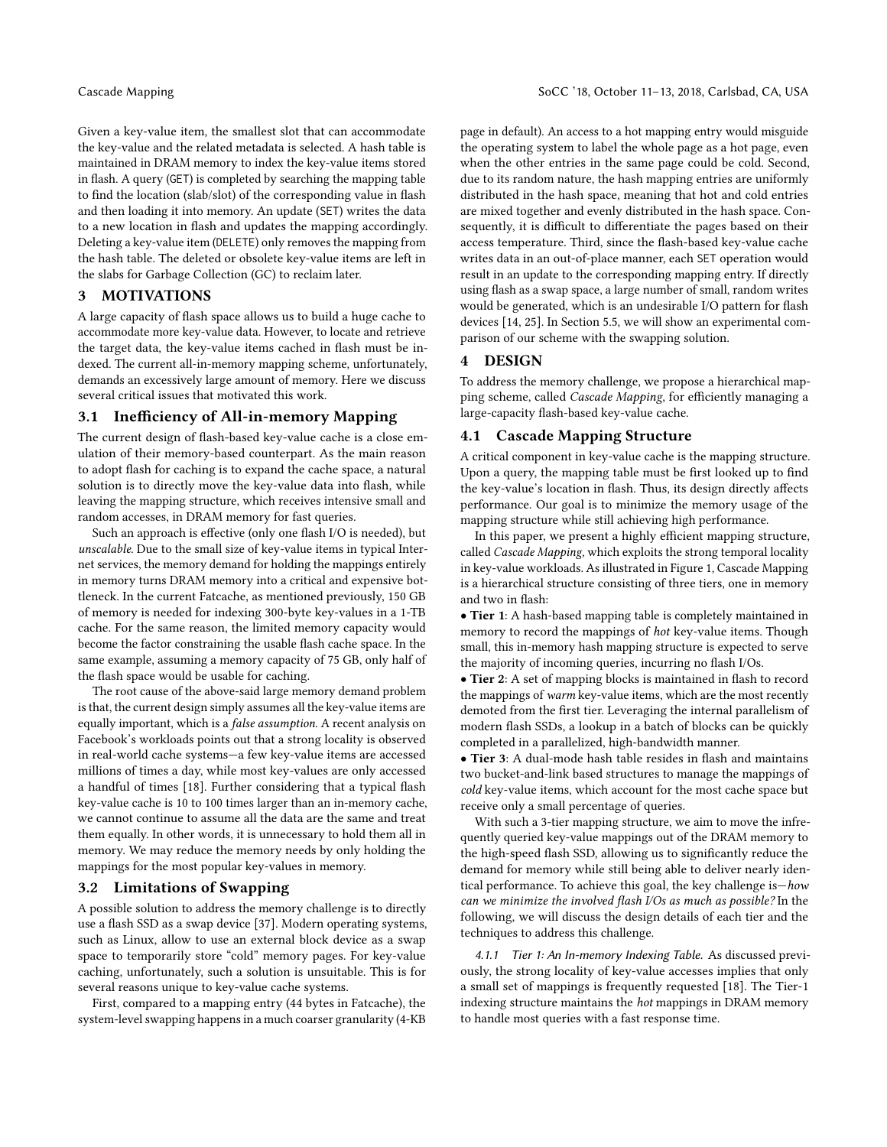Given a key-value item, the smallest slot that can accommodate the key-value and the related metadata is selected. A hash table is maintained in DRAM memory to index the key-value items stored in flash. A query (GET) is completed by searching the mapping table to find the location (slab/slot) of the corresponding value in flash and then loading it into memory. An update (SET) writes the data to a new location in flash and updates the mapping accordingly. Deleting a key-value item (DELETE) only removes the mapping from the hash table. The deleted or obsolete key-value items are left in the slabs for Garbage Collection (GC) to reclaim later.

## <span id="page-2-0"></span>3 MOTIVATIONS

A large capacity of flash space allows us to build a huge cache to accommodate more key-value data. However, to locate and retrieve the target data, the key-value items cached in flash must be indexed. The current all-in-memory mapping scheme, unfortunately, demands an excessively large amount of memory. Here we discuss several critical issues that motivated this work.

## 3.1 Inefficiency of All-in-memory Mapping

The current design of flash-based key-value cache is a close emulation of their memory-based counterpart. As the main reason to adopt flash for caching is to expand the cache space, a natural solution is to directly move the key-value data into flash, while leaving the mapping structure, which receives intensive small and random accesses, in DRAM memory for fast queries.

Such an approach is effective (only one flash I/O is needed), but unscalable. Due to the small size of key-value items in typical Internet services, the memory demand for holding the mappings entirely in memory turns DRAM memory into a critical and expensive bottleneck. In the current Fatcache, as mentioned previously, 150 GB of memory is needed for indexing 300-byte key-values in a 1-TB cache. For the same reason, the limited memory capacity would become the factor constraining the usable flash cache space. In the same example, assuming a memory capacity of 75 GB, only half of the flash space would be usable for caching.

The root cause of the above-said large memory demand problem is that, the current design simply assumes all the key-value items are equally important, which is a false assumption. A recent analysis on Facebook's workloads points out that a strong locality is observed in real-world cache systems—a few key-value items are accessed millions of times a day, while most key-values are only accessed a handful of times [\[18\]](#page-12-10). Further considering that a typical flash key-value cache is 10 to 100 times larger than an in-memory cache, we cannot continue to assume all the data are the same and treat them equally. In other words, it is unnecessary to hold them all in memory. We may reduce the memory needs by only holding the mappings for the most popular key-values in memory.

## <span id="page-2-2"></span>3.2 Limitations of Swapping

A possible solution to address the memory challenge is to directly use a flash SSD as a swap device [\[37\]](#page-12-26). Modern operating systems, such as Linux, allow to use an external block device as a swap space to temporarily store "cold" memory pages. For key-value caching, unfortunately, such a solution is unsuitable. This is for several reasons unique to key-value cache systems.

First, compared to a mapping entry (44 bytes in Fatcache), the system-level swapping happens in a much coarser granularity (4-KB page in default). An access to a hot mapping entry would misguide the operating system to label the whole page as a hot page, even when the other entries in the same page could be cold. Second, due to its random nature, the hash mapping entries are uniformly distributed in the hash space, meaning that hot and cold entries are mixed together and evenly distributed in the hash space. Consequently, it is difficult to differentiate the pages based on their access temperature. Third, since the flash-based key-value cache writes data in an out-of-place manner, each SET operation would result in an update to the corresponding mapping entry. If directly using flash as a swap space, a large number of small, random writes would be generated, which is an undesirable I/O pattern for flash devices [\[14,](#page-12-12) [25\]](#page-12-14). In Section [5.5,](#page-9-0) we will show an experimental comparison of our scheme with the swapping solution.

## <span id="page-2-1"></span>4 DESIGN

To address the memory challenge, we propose a hierarchical mapping scheme, called Cascade Mapping, for efficiently managing a large-capacity flash-based key-value cache.

## 4.1 Cascade Mapping Structure

A critical component in key-value cache is the mapping structure. Upon a query, the mapping table must be first looked up to find the key-value's location in flash. Thus, its design directly affects performance. Our goal is to minimize the memory usage of the mapping structure while still achieving high performance.

In this paper, we present a highly efficient mapping structure, called Cascade Mapping, which exploits the strong temporal locality in key-value workloads. As illustrated in Figure [1,](#page-3-0) Cascade Mapping is a hierarchical structure consisting of three tiers, one in memory and two in flash:

• Tier 1: A hash-based mapping table is completely maintained in memory to record the mappings of hot key-value items. Though small, this in-memory hash mapping structure is expected to serve the majority of incoming queries, incurring no flash I/Os.

• Tier 2: A set of mapping blocks is maintained in flash to record the mappings of warm key-value items, which are the most recently demoted from the first tier. Leveraging the internal parallelism of modern flash SSDs, a lookup in a batch of blocks can be quickly completed in a parallelized, high-bandwidth manner.

• Tier 3: A dual-mode hash table resides in flash and maintains two bucket-and-link based structures to manage the mappings of cold key-value items, which account for the most cache space but receive only a small percentage of queries.

With such a 3-tier mapping structure, we aim to move the infrequently queried key-value mappings out of the DRAM memory to the high-speed flash SSD, allowing us to significantly reduce the demand for memory while still being able to deliver nearly identical performance. To achieve this goal, the key challenge is—how can we minimize the involved flash I/Os as much as possible? In the following, we will discuss the design details of each tier and the techniques to address this challenge.

4.1.1 Tier 1: An In-memory Indexing Table. As discussed previously, the strong locality of key-value accesses implies that only a small set of mappings is frequently requested [\[18\]](#page-12-10). The Tier-1 indexing structure maintains the hot mappings in DRAM memory to handle most queries with a fast response time.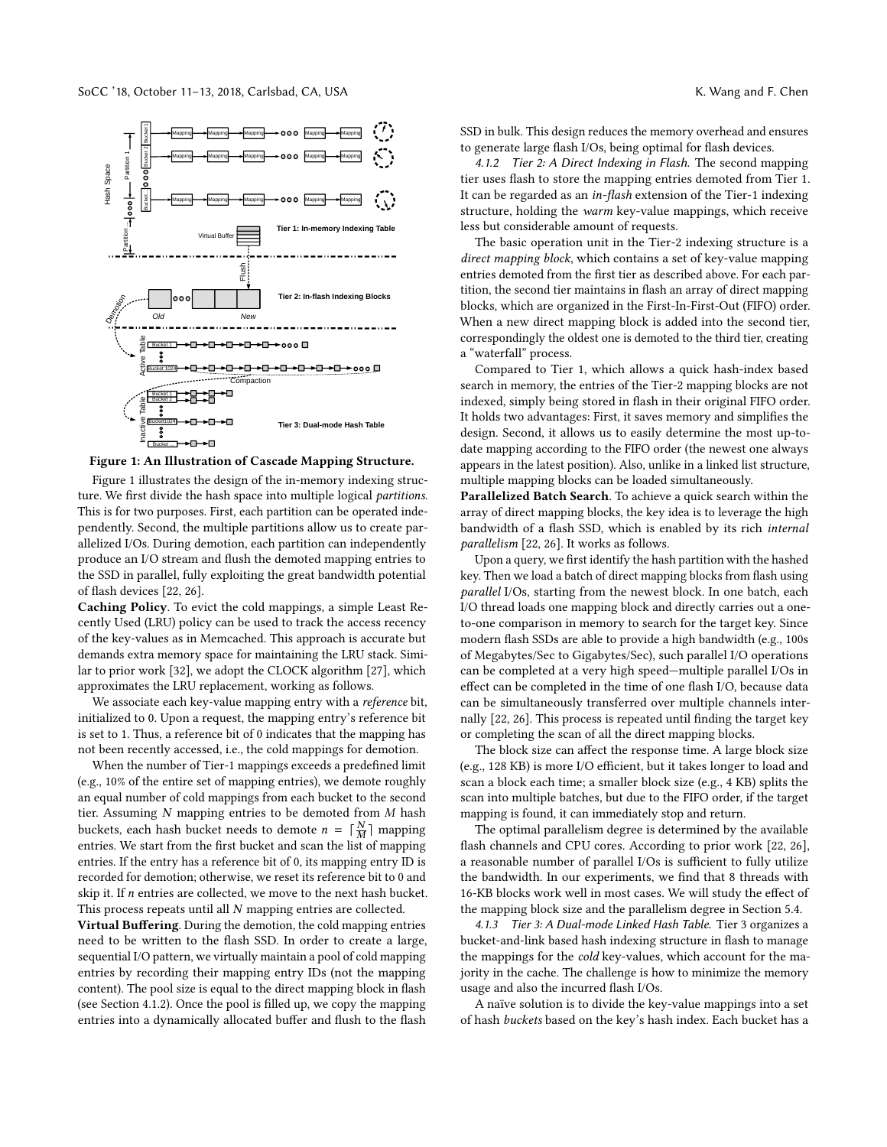<span id="page-3-0"></span>

## Figure 1: An Illustration of Cascade Mapping Structure.

Figure [1](#page-3-0) illustrates the design of the in-memory indexing structure. We first divide the hash space into multiple logical partitions. This is for two purposes. First, each partition can be operated independently. Second, the multiple partitions allow us to create parallelized I/Os. During demotion, each partition can independently produce an I/O stream and flush the demoted mapping entries to the SSD in parallel, fully exploiting the great bandwidth potential of flash devices [\[22,](#page-12-13) [26\]](#page-12-15).

Caching Policy. To evict the cold mappings, a simple Least Recently Used (LRU) policy can be used to track the access recency of the key-values as in Memcached. This approach is accurate but demands extra memory space for maintaining the LRU stack. Similar to prior work [\[32\]](#page-12-27), we adopt the CLOCK algorithm [\[27\]](#page-12-28), which approximates the LRU replacement, working as follows.

We associate each key-value mapping entry with a *reference* bit, initialized to 0. Upon a request, the mapping entry's reference bit is set to 1. Thus, a reference bit of 0 indicates that the mapping has not been recently accessed, i.e., the cold mappings for demotion.

When the number of Tier-1 mappings exceeds a predefined limit (e.g., 10% of the entire set of mapping entries), we demote roughly an equal number of cold mappings from each bucket to the second tier. Assuming N mapping entries to be demoted from M hash buckets, each hash bucket needs to demote  $n = \lceil \frac{N}{M} \rceil$  mapping<br>entries We start from the first bucket and scan the list of mapping entries. We start from the first bucket and scan the list of mapping entries. If the entry has a reference bit of 0, its mapping entry ID is recorded for demotion; otherwise, we reset its reference bit to 0 and skip it. If  $n$  entries are collected, we move to the next hash bucket. This process repeats until all N mapping entries are collected.

Virtual Buffering. During the demotion, the cold mapping entries need to be written to the flash SSD. In order to create a large, sequential I/O pattern, we virtually maintain a pool of cold mapping entries by recording their mapping entry IDs (not the mapping content). The pool size is equal to the direct mapping block in flash (see Section [4.1.2\)](#page-3-1). Once the pool is filled up, we copy the mapping entries into a dynamically allocated buffer and flush to the flash

SSD in bulk. This design reduces the memory overhead and ensures to generate large flash I/Os, being optimal for flash devices.

<span id="page-3-1"></span>4.1.2 Tier 2: A Direct Indexing in Flash. The second mapping tier uses flash to store the mapping entries demoted from Tier 1. It can be regarded as an in-flash extension of the Tier-1 indexing structure, holding the warm key-value mappings, which receive less but considerable amount of requests.

The basic operation unit in the Tier-2 indexing structure is a direct mapping block, which contains a set of key-value mapping entries demoted from the first tier as described above. For each partition, the second tier maintains in flash an array of direct mapping blocks, which are organized in the First-In-First-Out (FIFO) order. When a new direct mapping block is added into the second tier, correspondingly the oldest one is demoted to the third tier, creating a "waterfall" process.

Compared to Tier 1, which allows a quick hash-index based search in memory, the entries of the Tier-2 mapping blocks are not indexed, simply being stored in flash in their original FIFO order. It holds two advantages: First, it saves memory and simplifies the design. Second, it allows us to easily determine the most up-todate mapping according to the FIFO order (the newest one always appears in the latest position). Also, unlike in a linked list structure, multiple mapping blocks can be loaded simultaneously.

Parallelized Batch Search. To achieve a quick search within the array of direct mapping blocks, the key idea is to leverage the high bandwidth of a flash SSD, which is enabled by its rich internal parallelism [\[22,](#page-12-13) [26\]](#page-12-15). It works as follows.

Upon a query, we first identify the hash partition with the hashed key. Then we load a batch of direct mapping blocks from flash using parallel I/Os, starting from the newest block. In one batch, each I/O thread loads one mapping block and directly carries out a oneto-one comparison in memory to search for the target key. Since modern flash SSDs are able to provide a high bandwidth (e.g., 100s of Megabytes/Sec to Gigabytes/Sec), such parallel I/O operations can be completed at a very high speed—multiple parallel I/Os in effect can be completed in the time of one flash I/O, because data can be simultaneously transferred over multiple channels internally [\[22,](#page-12-13) [26\]](#page-12-15). This process is repeated until finding the target key or completing the scan of all the direct mapping blocks.

The block size can affect the response time. A large block size (e.g., 128 KB) is more I/O efficient, but it takes longer to load and scan a block each time; a smaller block size (e.g., 4 KB) splits the scan into multiple batches, but due to the FIFO order, if the target mapping is found, it can immediately stop and return.

The optimal parallelism degree is determined by the available flash channels and CPU cores. According to prior work [\[22,](#page-12-13) [26\]](#page-12-15), a reasonable number of parallel I/Os is sufficient to fully utilize the bandwidth. In our experiments, we find that 8 threads with 16-KB blocks work well in most cases. We will study the effect of the mapping block size and the parallelism degree in Section [5.4.](#page-8-0)

<span id="page-3-2"></span>4.1.3 Tier 3: A Dual-mode Linked Hash Table. Tier 3 organizes a bucket-and-link based hash indexing structure in flash to manage the mappings for the cold key-values, which account for the majority in the cache. The challenge is how to minimize the memory usage and also the incurred flash I/Os.

A naïve solution is to divide the key-value mappings into a set of hash buckets based on the key's hash index. Each bucket has a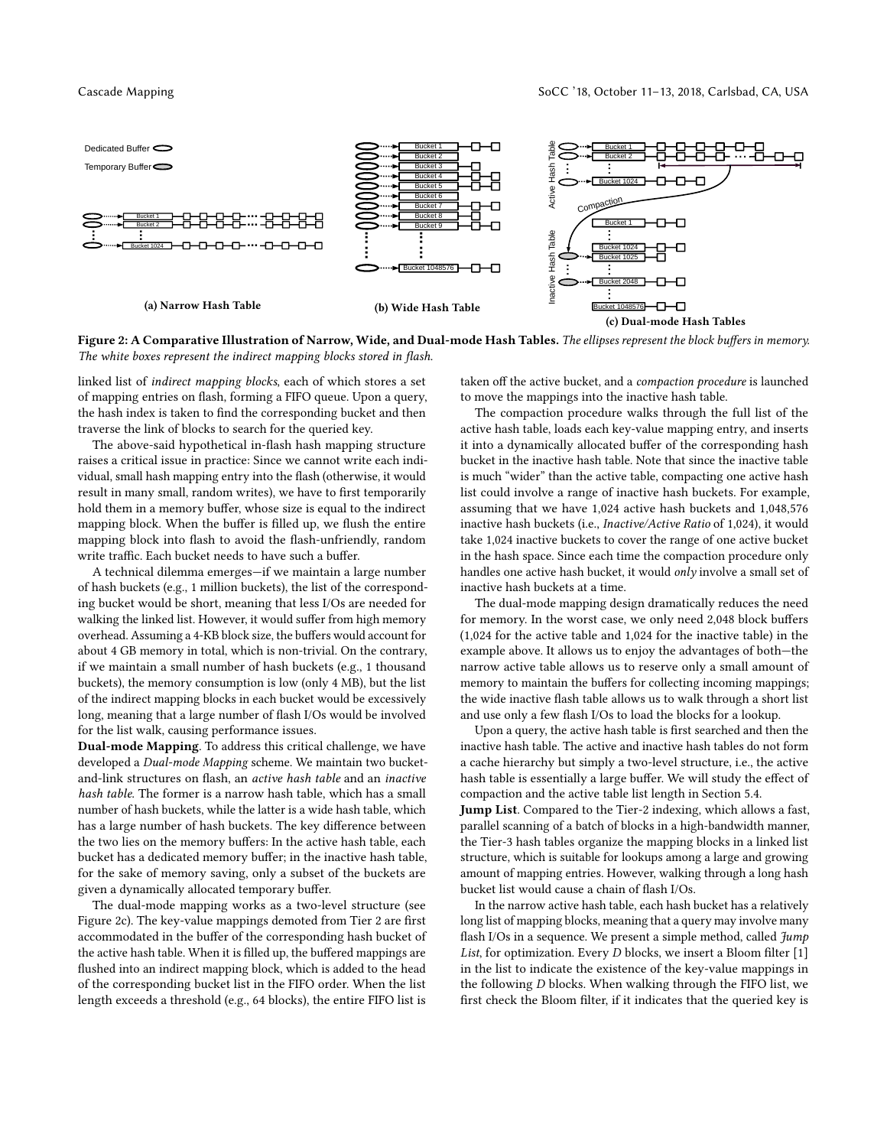<span id="page-4-0"></span>

Figure 2: A Comparative Illustration of Narrow, Wide, and Dual-mode Hash Tables. The ellipses represent the block buffers in memory. The white boxes represent the indirect mapping blocks stored in flash.

linked list of indirect mapping blocks, each of which stores a set of mapping entries on flash, forming a FIFO queue. Upon a query, the hash index is taken to find the corresponding bucket and then traverse the link of blocks to search for the queried key.

The above-said hypothetical in-flash hash mapping structure raises a critical issue in practice: Since we cannot write each individual, small hash mapping entry into the flash (otherwise, it would result in many small, random writes), we have to first temporarily hold them in a memory buffer, whose size is equal to the indirect mapping block. When the buffer is filled up, we flush the entire mapping block into flash to avoid the flash-unfriendly, random write traffic. Each bucket needs to have such a buffer.

A technical dilemma emerges—if we maintain a large number of hash buckets (e.g., 1 million buckets), the list of the corresponding bucket would be short, meaning that less I/Os are needed for walking the linked list. However, it would suffer from high memory overhead. Assuming a 4-KB block size, the buffers would account for about 4 GB memory in total, which is non-trivial. On the contrary, if we maintain a small number of hash buckets (e.g., 1 thousand buckets), the memory consumption is low (only 4 MB), but the list of the indirect mapping blocks in each bucket would be excessively long, meaning that a large number of flash I/Os would be involved for the list walk, causing performance issues.

Dual-mode Mapping. To address this critical challenge, we have developed a Dual-mode Mapping scheme. We maintain two bucketand-link structures on flash, an active hash table and an inactive hash table. The former is a narrow hash table, which has a small number of hash buckets, while the latter is a wide hash table, which has a large number of hash buckets. The key difference between the two lies on the memory buffers: In the active hash table, each bucket has a dedicated memory buffer; in the inactive hash table, for the sake of memory saving, only a subset of the buckets are given a dynamically allocated temporary buffer.

The dual-mode mapping works as a two-level structure (see Figure [2c\)](#page-4-0). The key-value mappings demoted from Tier 2 are first accommodated in the buffer of the corresponding hash bucket of the active hash table. When it is filled up, the buffered mappings are flushed into an indirect mapping block, which is added to the head of the corresponding bucket list in the FIFO order. When the list length exceeds a threshold (e.g., 64 blocks), the entire FIFO list is

taken off the active bucket, and a compaction procedure is launched to move the mappings into the inactive hash table.

The compaction procedure walks through the full list of the active hash table, loads each key-value mapping entry, and inserts it into a dynamically allocated buffer of the corresponding hash bucket in the inactive hash table. Note that since the inactive table is much "wider" than the active table, compacting one active hash list could involve a range of inactive hash buckets. For example, assuming that we have 1,024 active hash buckets and 1,048,576 inactive hash buckets (i.e., Inactive/Active Ratio of 1,024), it would take 1,024 inactive buckets to cover the range of one active bucket in the hash space. Since each time the compaction procedure only handles one active hash bucket, it would only involve a small set of inactive hash buckets at a time.

The dual-mode mapping design dramatically reduces the need for memory. In the worst case, we only need 2,048 block buffers (1,024 for the active table and 1,024 for the inactive table) in the example above. It allows us to enjoy the advantages of both—the narrow active table allows us to reserve only a small amount of memory to maintain the buffers for collecting incoming mappings; the wide inactive flash table allows us to walk through a short list and use only a few flash I/Os to load the blocks for a lookup.

Upon a query, the active hash table is first searched and then the inactive hash table. The active and inactive hash tables do not form a cache hierarchy but simply a two-level structure, i.e., the active hash table is essentially a large buffer. We will study the effect of compaction and the active table list length in Section [5.4.](#page-8-0)

Jump List. Compared to the Tier-2 indexing, which allows a fast, parallel scanning of a batch of blocks in a high-bandwidth manner, the Tier-3 hash tables organize the mapping blocks in a linked list structure, which is suitable for lookups among a large and growing amount of mapping entries. However, walking through a long hash bucket list would cause a chain of flash I/Os.

In the narrow active hash table, each hash bucket has a relatively long list of mapping blocks, meaning that a query may involve many flash I/Os in a sequence. We present a simple method, called  $\mathcal{H}$ ump List, for optimization. Every D blocks, we insert a Bloom filter [\[1\]](#page-12-29) in the list to indicate the existence of the key-value mappings in the following D blocks. When walking through the FIFO list, we first check the Bloom filter, if it indicates that the queried key is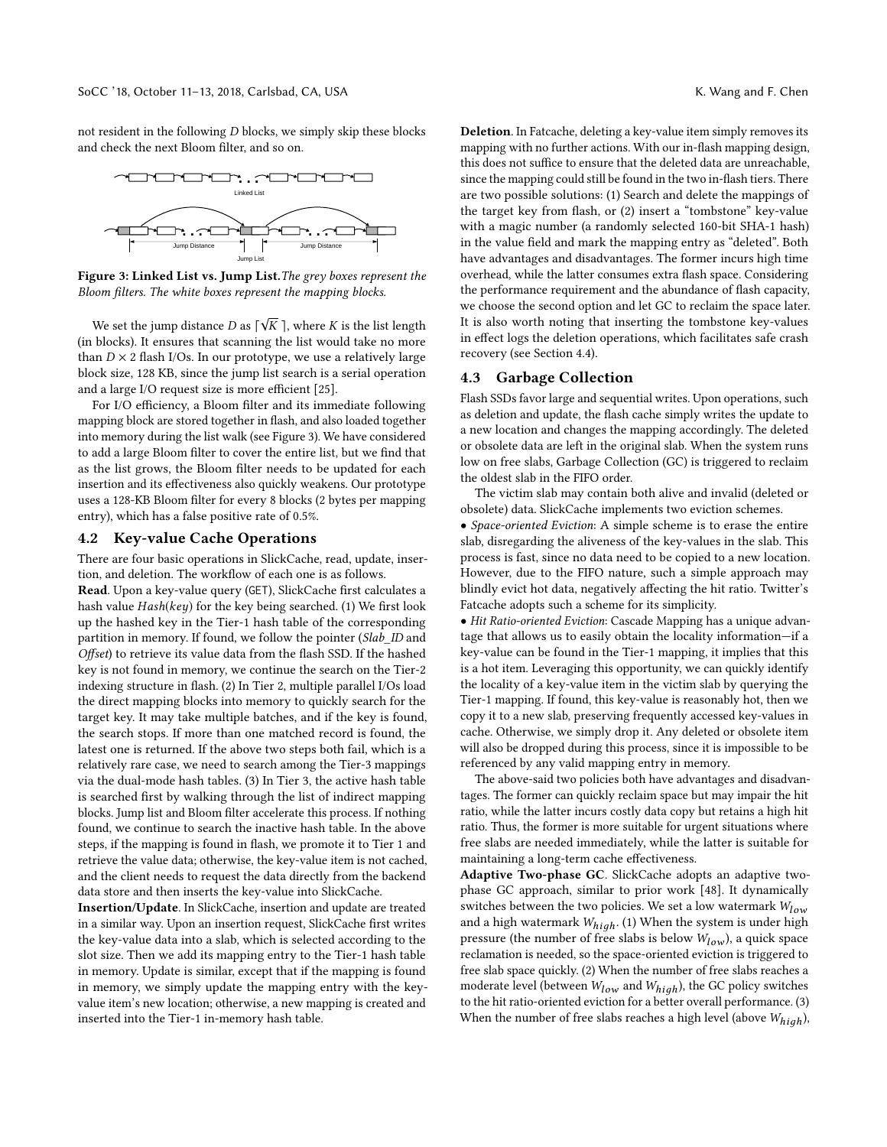not resident in the following D blocks, we simply skip these blocks and check the next Bloom filter, and so on.

<span id="page-5-0"></span>

Figure 3: Linked List vs. Jump List.The grey boxes represent the Bloom filters. The white boxes represent the mapping blocks.

We set the jump distance D as  $\lceil \sqrt{K} \rceil$ , where K is the list length blocks). It ensures that scanning the list would take no more (in blocks). It ensures that scanning the list would take no more than  $D \times 2$  flash I/Os. In our prototype, we use a relatively large block size, 128 KB, since the jump list search is a serial operation and a large I/O request size is more efficient [\[25\]](#page-12-14).

For I/O efficiency, a Bloom filter and its immediate following mapping block are stored together in flash, and also loaded together into memory during the list walk (see Figure [3\)](#page-5-0). We have considered to add a large Bloom filter to cover the entire list, but we find that as the list grows, the Bloom filter needs to be updated for each insertion and its effectiveness also quickly weakens. Our prototype uses a 128-KB Bloom filter for every 8 blocks (2 bytes per mapping entry), which has a false positive rate of 0.5%.

## 4.2 Key-value Cache Operations

There are four basic operations in SlickCache, read, update, insertion, and deletion. The workflow of each one is as follows.

Read. Upon a key-value query (GET), SlickCache first calculates a hash value Hash(key) for the key being searched. (1) We first look up the hashed key in the Tier-1 hash table of the corresponding partition in memory. If found, we follow the pointer (Slab\_ID and Offset) to retrieve its value data from the flash SSD. If the hashed key is not found in memory, we continue the search on the Tier-2 indexing structure in flash. (2) In Tier 2, multiple parallel I/Os load the direct mapping blocks into memory to quickly search for the target key. It may take multiple batches, and if the key is found, the search stops. If more than one matched record is found, the latest one is returned. If the above two steps both fail, which is a relatively rare case, we need to search among the Tier-3 mappings via the dual-mode hash tables. (3) In Tier 3, the active hash table is searched first by walking through the list of indirect mapping blocks. Jump list and Bloom filter accelerate this process. If nothing found, we continue to search the inactive hash table. In the above steps, if the mapping is found in flash, we promote it to Tier 1 and retrieve the value data; otherwise, the key-value item is not cached, and the client needs to request the data directly from the backend data store and then inserts the key-value into SlickCache.

Insertion/Update. In SlickCache, insertion and update are treated in a similar way. Upon an insertion request, SlickCache first writes the key-value data into a slab, which is selected according to the slot size. Then we add its mapping entry to the Tier-1 hash table in memory. Update is similar, except that if the mapping is found in memory, we simply update the mapping entry with the keyvalue item's new location; otherwise, a new mapping is created and inserted into the Tier-1 in-memory hash table.

Deletion. In Fatcache, deleting a key-value item simply removes its mapping with no further actions. With our in-flash mapping design, this does not suffice to ensure that the deleted data are unreachable, since the mapping could still be found in the two in-flash tiers. There are two possible solutions: (1) Search and delete the mappings of the target key from flash, or (2) insert a "tombstone" key-value with a magic number (a randomly selected 160-bit SHA-1 hash) in the value field and mark the mapping entry as "deleted". Both have advantages and disadvantages. The former incurs high time overhead, while the latter consumes extra flash space. Considering the performance requirement and the abundance of flash capacity, we choose the second option and let GC to reclaim the space later. It is also worth noting that inserting the tombstone key-values in effect logs the deletion operations, which facilitates safe crash recovery (see Section [4.4\)](#page-6-1).

#### <span id="page-5-1"></span>4.3 Garbage Collection

Flash SSDs favor large and sequential writes. Upon operations, such as deletion and update, the flash cache simply writes the update to a new location and changes the mapping accordingly. The deleted or obsolete data are left in the original slab. When the system runs low on free slabs, Garbage Collection (GC) is triggered to reclaim the oldest slab in the FIFO order.

The victim slab may contain both alive and invalid (deleted or obsolete) data. SlickCache implements two eviction schemes.

• Space-oriented Eviction: A simple scheme is to erase the entire slab, disregarding the aliveness of the key-values in the slab. This process is fast, since no data need to be copied to a new location. However, due to the FIFO nature, such a simple approach may blindly evict hot data, negatively affecting the hit ratio. Twitter's Fatcache adopts such a scheme for its simplicity.

• Hit Ratio-oriented Eviction: Cascade Mapping has a unique advantage that allows us to easily obtain the locality information—if a key-value can be found in the Tier-1 mapping, it implies that this is a hot item. Leveraging this opportunity, we can quickly identify the locality of a key-value item in the victim slab by querying the Tier-1 mapping. If found, this key-value is reasonably hot, then we copy it to a new slab, preserving frequently accessed key-values in cache. Otherwise, we simply drop it. Any deleted or obsolete item will also be dropped during this process, since it is impossible to be referenced by any valid mapping entry in memory.

The above-said two policies both have advantages and disadvantages. The former can quickly reclaim space but may impair the hit ratio, while the latter incurs costly data copy but retains a high hit ratio. Thus, the former is more suitable for urgent situations where free slabs are needed immediately, while the latter is suitable for maintaining a long-term cache effectiveness.

Adaptive Two-phase GC. SlickCache adopts an adaptive twophase GC approach, similar to prior work [\[48\]](#page-12-24). It dynamically switches between the two policies. We set a low watermark  $W_{low}$ and a high watermark  $W_{high}$ . (1) When the system is under high pressure (the number of free slabs is below  $W_{low}$ ), a quick space reclamation is needed, so the space-oriented eviction is triggered to free slab space quickly. (2) When the number of free slabs reaches a moderate level (between  $W_{low}$  and  $W_{high}$ ), the GC policy switches to the hit ratio-oriented eviction for a better overall performance. (3) When the number of free slabs reaches a high level (above  $W_{high}$ ),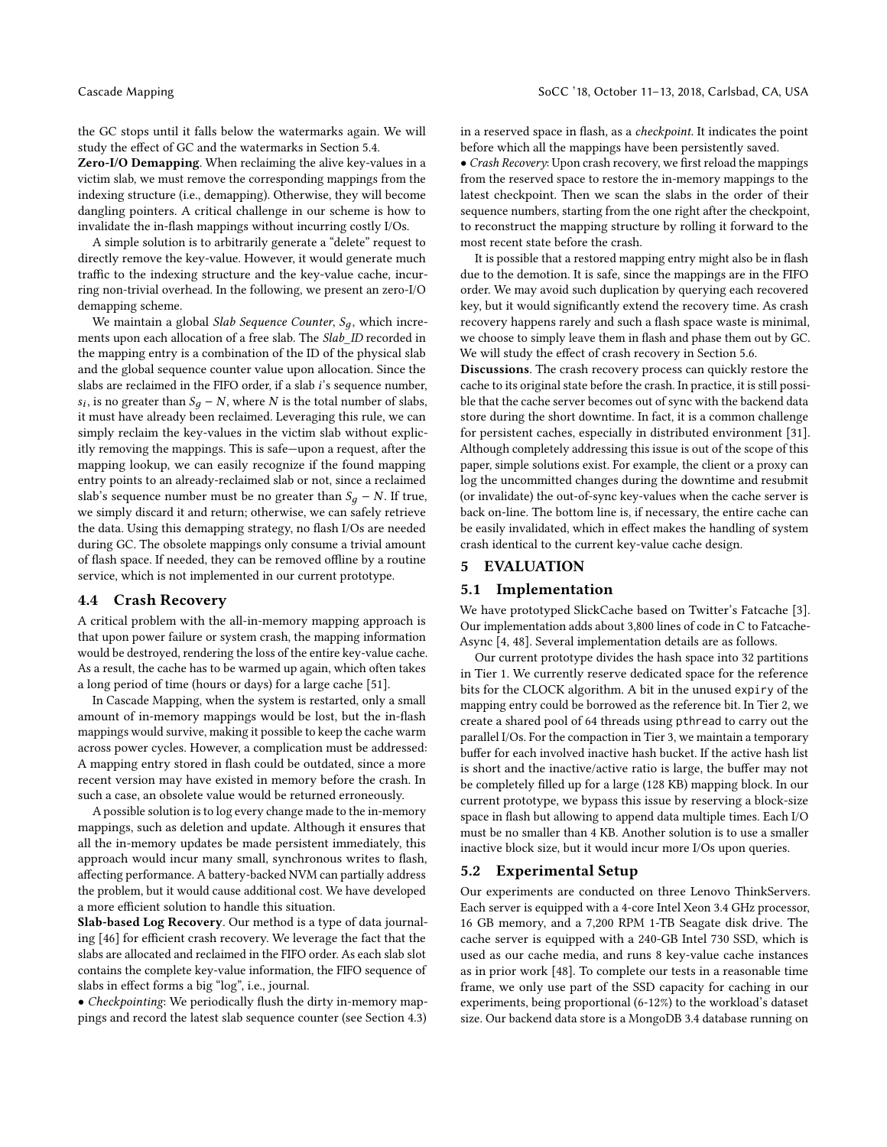the GC stops until it falls below the watermarks again. We will study the effect of GC and the watermarks in Section [5.4.](#page-8-0)

Zero-I/O Demapping. When reclaiming the alive key-values in a victim slab, we must remove the corresponding mappings from the indexing structure (i.e., demapping). Otherwise, they will become dangling pointers. A critical challenge in our scheme is how to invalidate the in-flash mappings without incurring costly I/Os.

A simple solution is to arbitrarily generate a "delete" request to directly remove the key-value. However, it would generate much traffic to the indexing structure and the key-value cache, incurring non-trivial overhead. In the following, we present an zero-I/O demapping scheme.

We maintain a global Slab Sequence Counter,  $S_q$ , which increments upon each allocation of a free slab. The Slab\_ID recorded in the mapping entry is a combination of the ID of the physical slab and the global sequence counter value upon allocation. Since the slabs are reclaimed in the FIFO order, if a slab i's sequence number, it must have already been reclaimed. Leveraging this rule, we can  $s_i$ , is no greater than  $S_q - N$ , where N is the total number of slabs, simply reclaim the key-values in the victim slab without explicitly removing the mappings. This is safe—upon a request, after the mapping lookup, we can easily recognize if the found mapping entry points to an already-reclaimed slab or not, since a reclaimed slab's sequence number must be no greater than  $S_q - N$ . If true, we simply discard it and return; otherwise, we can safely retrieve the data. Using this demapping strategy, no flash I/Os are needed during GC. The obsolete mappings only consume a trivial amount of flash space. If needed, they can be removed offline by a routine service, which is not implemented in our current prototype.

## <span id="page-6-1"></span>4.4 Crash Recovery

A critical problem with the all-in-memory mapping approach is that upon power failure or system crash, the mapping information would be destroyed, rendering the loss of the entire key-value cache. As a result, the cache has to be warmed up again, which often takes a long period of time (hours or days) for a large cache [\[51\]](#page-12-30).

In Cascade Mapping, when the system is restarted, only a small amount of in-memory mappings would be lost, but the in-flash mappings would survive, making it possible to keep the cache warm across power cycles. However, a complication must be addressed: A mapping entry stored in flash could be outdated, since a more recent version may have existed in memory before the crash. In such a case, an obsolete value would be returned erroneously.

A possible solution is to log every change made to the in-memory mappings, such as deletion and update. Although it ensures that all the in-memory updates be made persistent immediately, this approach would incur many small, synchronous writes to flash, affecting performance. A battery-backed NVM can partially address the problem, but it would cause additional cost. We have developed a more efficient solution to handle this situation.

Slab-based Log Recovery. Our method is a type of data journaling [\[46\]](#page-12-31) for efficient crash recovery. We leverage the fact that the slabs are allocated and reclaimed in the FIFO order. As each slab slot contains the complete key-value information, the FIFO sequence of slabs in effect forms a big "log", i.e., journal.

• Checkpointing: We periodically flush the dirty in-memory mappings and record the latest slab sequence counter (see Section [4.3\)](#page-5-1)

in a reserved space in flash, as a checkpoint. It indicates the point before which all the mappings have been persistently saved.

• Crash Recovery: Upon crash recovery, we first reload the mappings from the reserved space to restore the in-memory mappings to the latest checkpoint. Then we scan the slabs in the order of their sequence numbers, starting from the one right after the checkpoint, to reconstruct the mapping structure by rolling it forward to the most recent state before the crash.

It is possible that a restored mapping entry might also be in flash due to the demotion. It is safe, since the mappings are in the FIFO order. We may avoid such duplication by querying each recovered key, but it would significantly extend the recovery time. As crash recovery happens rarely and such a flash space waste is minimal, we choose to simply leave them in flash and phase them out by GC. We will study the effect of crash recovery in Section [5.6.](#page-10-0)

Discussions. The crash recovery process can quickly restore the cache to its original state before the crash. In practice, it is still possible that the cache server becomes out of sync with the backend data store during the short downtime. In fact, it is a common challenge for persistent caches, especially in distributed environment [\[31\]](#page-12-32). Although completely addressing this issue is out of the scope of this paper, simple solutions exist. For example, the client or a proxy can log the uncommitted changes during the downtime and resubmit (or invalidate) the out-of-sync key-values when the cache server is back on-line. The bottom line is, if necessary, the entire cache can be easily invalidated, which in effect makes the handling of system crash identical to the current key-value cache design.

## <span id="page-6-0"></span>5 EVALUATION

## 5.1 Implementation

We have prototyped SlickCache based on Twitter's Fatcache [\[3\]](#page-12-9). Our implementation adds about 3,800 lines of code in C to Fatcache-Async [\[4,](#page-12-33) [48\]](#page-12-24). Several implementation details are as follows.

Our current prototype divides the hash space into 32 partitions in Tier 1. We currently reserve dedicated space for the reference bits for the CLOCK algorithm. A bit in the unused expiry of the mapping entry could be borrowed as the reference bit. In Tier 2, we create a shared pool of 64 threads using pthread to carry out the parallel I/Os. For the compaction in Tier 3, we maintain a temporary buffer for each involved inactive hash bucket. If the active hash list is short and the inactive/active ratio is large, the buffer may not be completely filled up for a large (128 KB) mapping block. In our current prototype, we bypass this issue by reserving a block-size space in flash but allowing to append data multiple times. Each I/O must be no smaller than 4 KB. Another solution is to use a smaller inactive block size, but it would incur more I/Os upon queries.

#### 5.2 Experimental Setup

Our experiments are conducted on three Lenovo ThinkServers. Each server is equipped with a 4-core Intel Xeon 3.4 GHz processor, 16 GB memory, and a 7,200 RPM 1-TB Seagate disk drive. The cache server is equipped with a 240-GB Intel 730 SSD, which is used as our cache media, and runs 8 key-value cache instances as in prior work [\[48\]](#page-12-24). To complete our tests in a reasonable time frame, we only use part of the SSD capacity for caching in our experiments, being proportional (6-12%) to the workload's dataset size. Our backend data store is a MongoDB 3.4 database running on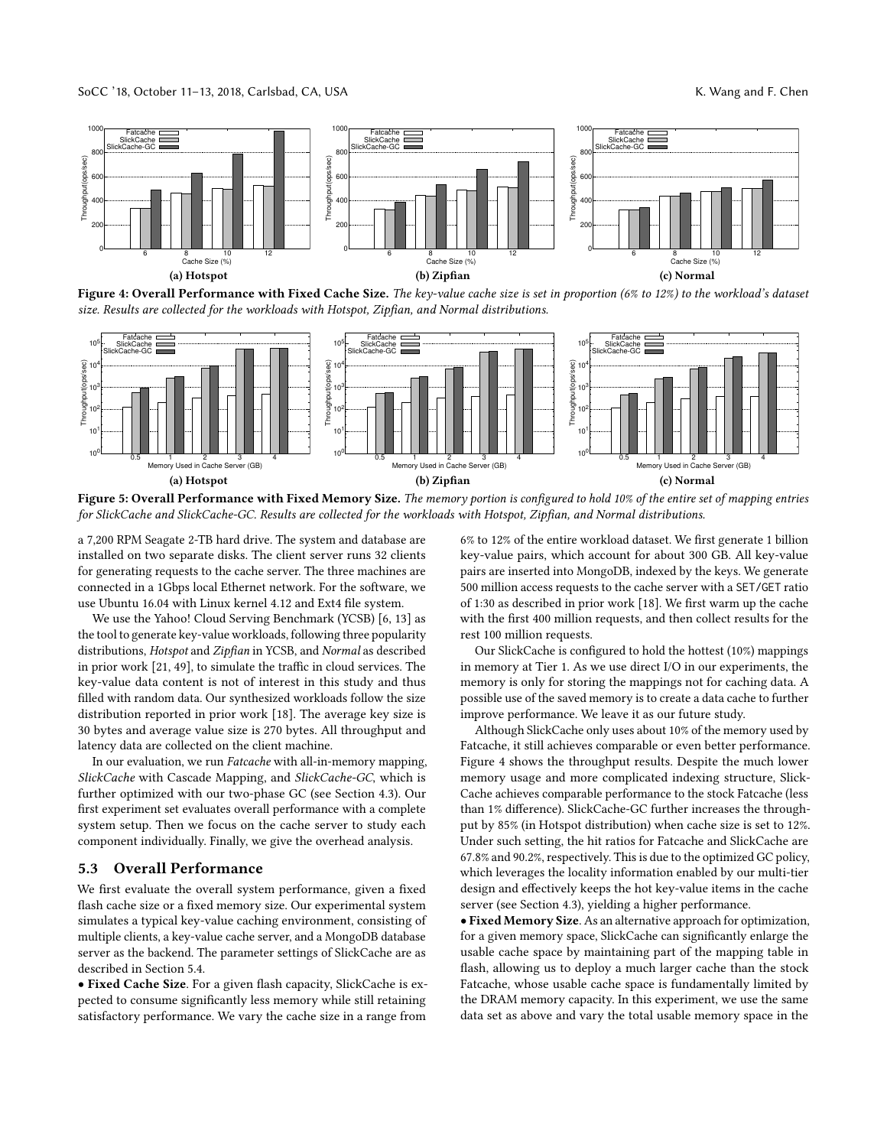<span id="page-7-0"></span>

Figure 4: Overall Performance with Fixed Cache Size. The key-value cache size is set in proportion (6% to 12%) to the workload's dataset size. Results are collected for the workloads with Hotspot, Zipfian, and Normal distributions.

<span id="page-7-1"></span>

Figure 5: Overall Performance with Fixed Memory Size. The memory portion is configured to hold 10% of the entire set of mapping entries for SlickCache and SlickCache-GC. Results are collected for the workloads with Hotspot, Zipfian, and Normal distributions.

a 7,200 RPM Seagate 2-TB hard drive. The system and database are installed on two separate disks. The client server runs 32 clients for generating requests to the cache server. The three machines are connected in a 1Gbps local Ethernet network. For the software, we use Ubuntu 16.04 with Linux kernel 4.12 and Ext4 file system.

We use the Yahoo! Cloud Serving Benchmark (YCSB) [\[6,](#page-12-34) [13\]](#page-12-35) as the tool to generate key-value workloads, following three popularity distributions, Hotspot and Zipfian in YCSB, and Normal as described in prior work [\[21,](#page-12-36) [49\]](#page-12-37), to simulate the traffic in cloud services. The key-value data content is not of interest in this study and thus filled with random data. Our synthesized workloads follow the size distribution reported in prior work [\[18\]](#page-12-10). The average key size is 30 bytes and average value size is 270 bytes. All throughput and latency data are collected on the client machine.

In our evaluation, we run Fatcache with all-in-memory mapping, SlickCache with Cascade Mapping, and SlickCache-GC, which is further optimized with our two-phase GC (see Section [4.3\)](#page-5-1). Our first experiment set evaluates overall performance with a complete system setup. Then we focus on the cache server to study each component individually. Finally, we give the overhead analysis.

## <span id="page-7-2"></span>5.3 Overall Performance

We first evaluate the overall system performance, given a fixed flash cache size or a fixed memory size. Our experimental system simulates a typical key-value caching environment, consisting of multiple clients, a key-value cache server, and a MongoDB database server as the backend. The parameter settings of SlickCache are as described in Section [5.4.](#page-8-0)

• Fixed Cache Size. For a given flash capacity, SlickCache is expected to consume significantly less memory while still retaining satisfactory performance. We vary the cache size in a range from

6% to 12% of the entire workload dataset. We first generate 1 billion key-value pairs, which account for about 300 GB. All key-value pairs are inserted into MongoDB, indexed by the keys. We generate 500 million access requests to the cache server with a SET/GET ratio of 1:30 as described in prior work [\[18\]](#page-12-10). We first warm up the cache with the first 400 million requests, and then collect results for the rest 100 million requests.

Our SlickCache is configured to hold the hottest (10%) mappings in memory at Tier 1. As we use direct I/O in our experiments, the memory is only for storing the mappings not for caching data. A possible use of the saved memory is to create a data cache to further improve performance. We leave it as our future study.

Although SlickCache only uses about 10% of the memory used by Fatcache, it still achieves comparable or even better performance. Figure [4](#page-7-0) shows the throughput results. Despite the much lower memory usage and more complicated indexing structure, Slick-Cache achieves comparable performance to the stock Fatcache (less than 1% difference). SlickCache-GC further increases the throughput by 85% (in Hotspot distribution) when cache size is set to 12%. Under such setting, the hit ratios for Fatcache and SlickCache are 67.8% and 90.2%, respectively. This is due to the optimized GC policy, which leverages the locality information enabled by our multi-tier design and effectively keeps the hot key-value items in the cache server (see Section [4.3\)](#page-5-1), yielding a higher performance.

• Fixed Memory Size. As an alternative approach for optimization, for a given memory space, SlickCache can significantly enlarge the usable cache space by maintaining part of the mapping table in flash, allowing us to deploy a much larger cache than the stock Fatcache, whose usable cache space is fundamentally limited by the DRAM memory capacity. In this experiment, we use the same data set as above and vary the total usable memory space in the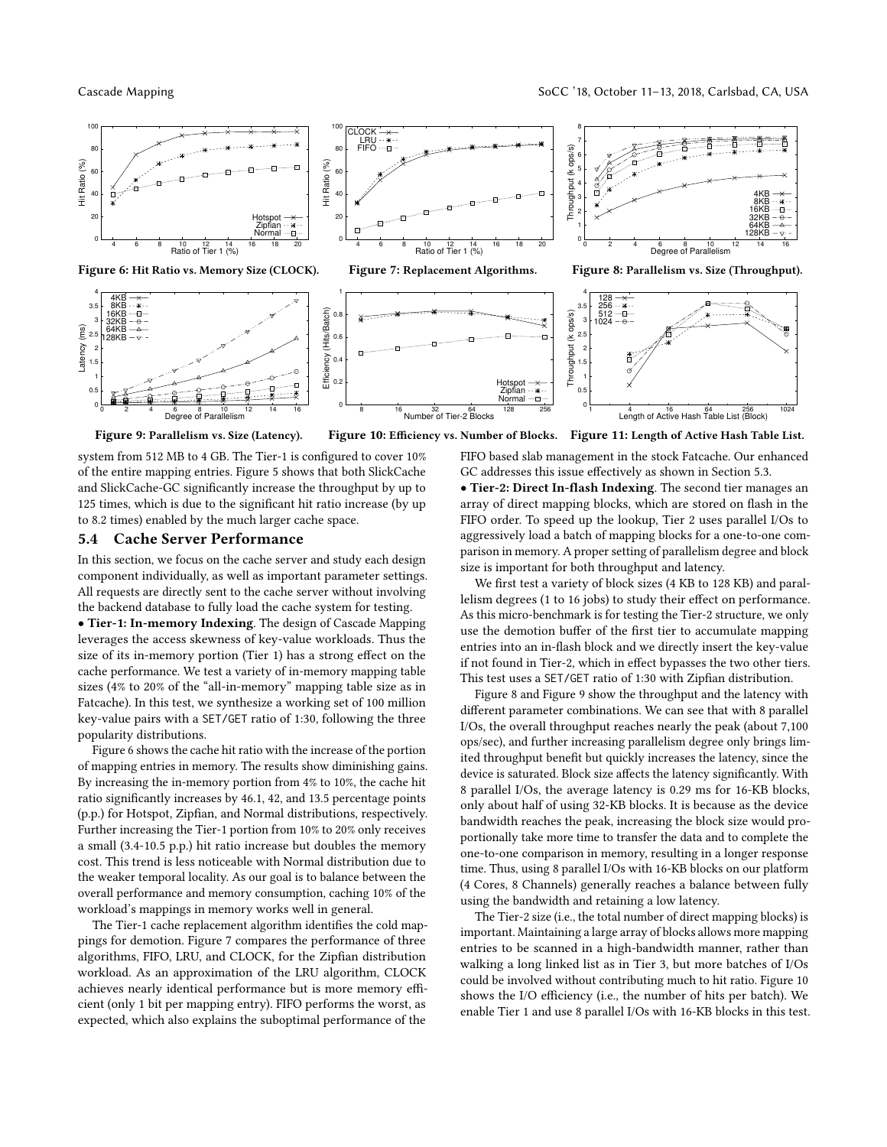<span id="page-8-1"></span>

<span id="page-8-2"></span>Figure 9: Parallelism vs. Size (Latency).

Figure 10: Efficiency vs. Number of Blocks. Figure 11: Length of Active Hash Table List.

system from 512 MB to 4 GB. The Tier-1 is configured to cover 10% of the entire mapping entries. Figure [5](#page-7-1) shows that both SlickCache and SlickCache-GC significantly increase the throughput by up to 125 times, which is due to the significant hit ratio increase (by up to 8.2 times) enabled by the much larger cache space.

#### <span id="page-8-0"></span>5.4 Cache Server Performance

In this section, we focus on the cache server and study each design component individually, as well as important parameter settings. All requests are directly sent to the cache server without involving the backend database to fully load the cache system for testing.

• Tier-1: In-memory Indexing. The design of Cascade Mapping leverages the access skewness of key-value workloads. Thus the size of its in-memory portion (Tier 1) has a strong effect on the cache performance. We test a variety of in-memory mapping table sizes (4% to 20% of the "all-in-memory" mapping table size as in Fatcache). In this test, we synthesize a working set of 100 million key-value pairs with a SET/GET ratio of 1:30, following the three popularity distributions.

Figure [6](#page-8-1) shows the cache hit ratio with the increase of the portion of mapping entries in memory. The results show diminishing gains. By increasing the in-memory portion from 4% to 10%, the cache hit ratio significantly increases by 46.1, 42, and 13.5 percentage points (p.p.) for Hotspot, Zipfian, and Normal distributions, respectively. Further increasing the Tier-1 portion from 10% to 20% only receives a small (3.4-10.5 p.p.) hit ratio increase but doubles the memory cost. This trend is less noticeable with Normal distribution due to the weaker temporal locality. As our goal is to balance between the overall performance and memory consumption, caching 10% of the workload's mappings in memory works well in general.

The Tier-1 cache replacement algorithm identifies the cold mappings for demotion. Figure [7](#page-8-1) compares the performance of three algorithms, FIFO, LRU, and CLOCK, for the Zipfian distribution workload. As an approximation of the LRU algorithm, CLOCK achieves nearly identical performance but is more memory efficient (only 1 bit per mapping entry). FIFO performs the worst, as expected, which also explains the suboptimal performance of the

FIFO based slab management in the stock Fatcache. Our enhanced GC addresses this issue effectively as shown in Section [5.3.](#page-7-2)

• Tier-2: Direct In-flash Indexing. The second tier manages an array of direct mapping blocks, which are stored on flash in the FIFO order. To speed up the lookup, Tier 2 uses parallel I/Os to aggressively load a batch of mapping blocks for a one-to-one comparison in memory. A proper setting of parallelism degree and block size is important for both throughput and latency.

We first test a variety of block sizes (4 KB to 128 KB) and parallelism degrees (1 to 16 jobs) to study their effect on performance. As this micro-benchmark is for testing the Tier-2 structure, we only use the demotion buffer of the first tier to accumulate mapping entries into an in-flash block and we directly insert the key-value if not found in Tier-2, which in effect bypasses the two other tiers. This test uses a SET/GET ratio of 1:30 with Zipfian distribution.

Figure [8](#page-8-1) and Figure [9](#page-8-2) show the throughput and the latency with different parameter combinations. We can see that with 8 parallel I/Os, the overall throughput reaches nearly the peak (about 7,100 ops/sec), and further increasing parallelism degree only brings limited throughput benefit but quickly increases the latency, since the device is saturated. Block size affects the latency significantly. With 8 parallel I/Os, the average latency is 0.29 ms for 16-KB blocks, only about half of using 32-KB blocks. It is because as the device bandwidth reaches the peak, increasing the block size would proportionally take more time to transfer the data and to complete the one-to-one comparison in memory, resulting in a longer response time. Thus, using 8 parallel I/Os with 16-KB blocks on our platform (4 Cores, 8 Channels) generally reaches a balance between fully using the bandwidth and retaining a low latency.

The Tier-2 size (i.e., the total number of direct mapping blocks) is important. Maintaining a large array of blocks allows more mapping entries to be scanned in a high-bandwidth manner, rather than walking a long linked list as in Tier 3, but more batches of I/Os could be involved without contributing much to hit ratio. Figure [10](#page-8-2) shows the I/O efficiency (i.e., the number of hits per batch). We enable Tier 1 and use 8 parallel I/Os with 16-KB blocks in this test.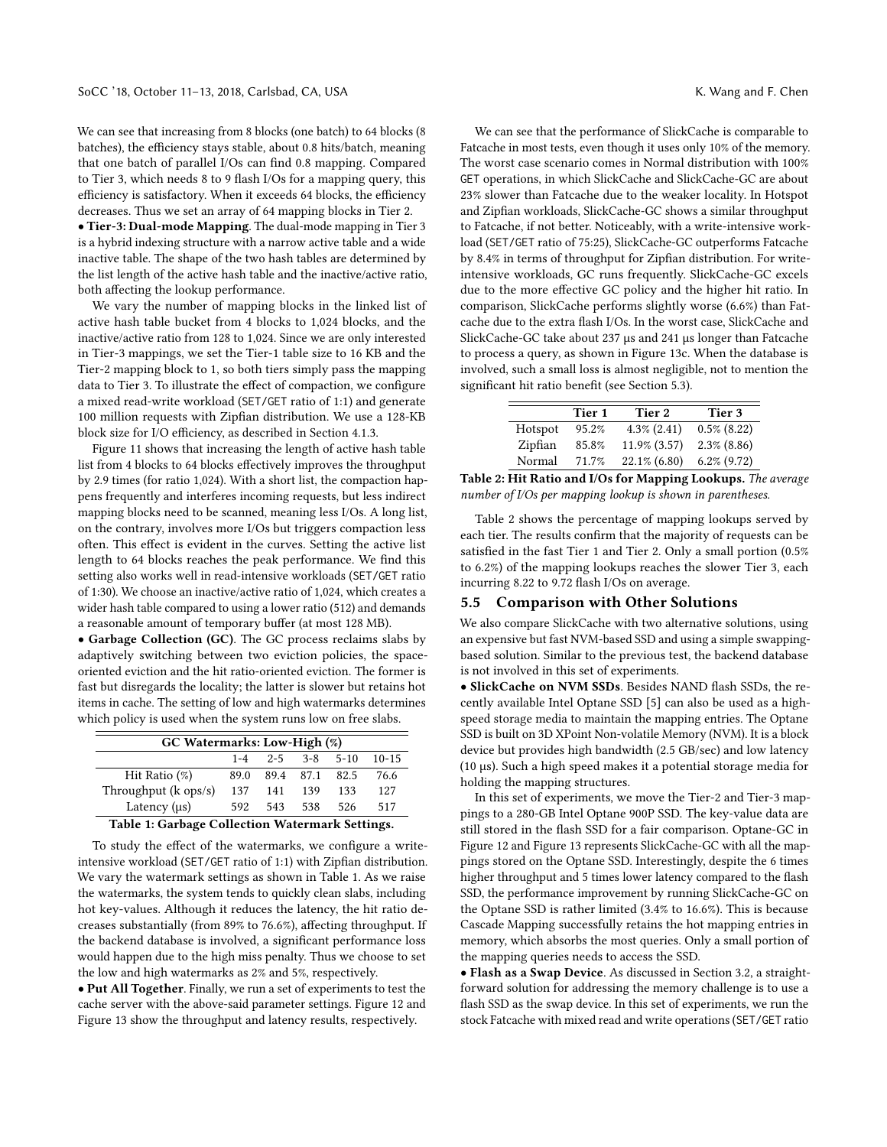We can see that increasing from 8 blocks (one batch) to 64 blocks (8 batches), the efficiency stays stable, about 0.8 hits/batch, meaning that one batch of parallel I/Os can find 0.8 mapping. Compared to Tier 3, which needs 8 to 9 flash I/Os for a mapping query, this efficiency is satisfactory. When it exceeds 64 blocks, the efficiency decreases. Thus we set an array of 64 mapping blocks in Tier 2.

• Tier-3: Dual-mode Mapping. The dual-mode mapping in Tier 3 is a hybrid indexing structure with a narrow active table and a wide inactive table. The shape of the two hash tables are determined by the list length of the active hash table and the inactive/active ratio, both affecting the lookup performance.

We vary the number of mapping blocks in the linked list of active hash table bucket from 4 blocks to 1,024 blocks, and the inactive/active ratio from 128 to 1,024. Since we are only interested in Tier-3 mappings, we set the Tier-1 table size to 16 KB and the Tier-2 mapping block to 1, so both tiers simply pass the mapping data to Tier 3. To illustrate the effect of compaction, we configure a mixed read-write workload (SET/GET ratio of 1:1) and generate 100 million requests with Zipfian distribution. We use a 128-KB block size for I/O efficiency, as described in Section [4.1.3.](#page-3-2)

Figure [11](#page-8-2) shows that increasing the length of active hash table list from 4 blocks to 64 blocks effectively improves the throughput by 2.9 times (for ratio 1,024). With a short list, the compaction happens frequently and interferes incoming requests, but less indirect mapping blocks need to be scanned, meaning less I/Os. A long list, on the contrary, involves more I/Os but triggers compaction less often. This effect is evident in the curves. Setting the active list length to 64 blocks reaches the peak performance. We find this setting also works well in read-intensive workloads (SET/GET ratio of 1:30). We choose an inactive/active ratio of 1,024, which creates a wider hash table compared to using a lower ratio (512) and demands a reasonable amount of temporary buffer (at most 128 MB).

• Garbage Collection (GC). The GC process reclaims slabs by adaptively switching between two eviction policies, the spaceoriented eviction and the hit ratio-oriented eviction. The former is fast but disregards the locality; the latter is slower but retains hot items in cache. The setting of low and high watermarks determines which policy is used when the system runs low on free slabs.

<span id="page-9-1"></span>

| GC Watermarks: Low-High (%)    |      |     |                          |      |           |  |  |  |
|--------------------------------|------|-----|--------------------------|------|-----------|--|--|--|
|                                |      |     | $1-4$ $2-5$ $3-8$ $5-10$ |      | $10 - 15$ |  |  |  |
| Hit Ratio $(\%)$               | 89.0 |     | 89.4 87.1                | 82.5 | 76.6      |  |  |  |
| Throughput $(k \text{ ops/s})$ | 137  | 141 | 139                      | 133  | 127       |  |  |  |
| Latency $(\mu s)$              | 592  | 543 | 538                      | 526  | 517       |  |  |  |
| $\sim$ $\sim$<br>_____         |      |     |                          |      |           |  |  |  |

#### Table 1: Garbage Collection Watermark Settings.

To study the effect of the watermarks, we configure a writeintensive workload (SET/GET ratio of 1:1) with Zipfian distribution. We vary the watermark settings as shown in Table [1.](#page-9-1) As we raise the watermarks, the system tends to quickly clean slabs, including hot key-values. Although it reduces the latency, the hit ratio decreases substantially (from 89% to 76.6%), affecting throughput. If the backend database is involved, a significant performance loss would happen due to the high miss penalty. Thus we choose to set the low and high watermarks as 2% and 5%, respectively.

• Put All Together. Finally, we run a set of experiments to test the cache server with the above-said parameter settings. Figure [12](#page-10-1) and Figure [13](#page-10-2) show the throughput and latency results, respectively.

We can see that the performance of SlickCache is comparable to Fatcache in most tests, even though it uses only 10% of the memory. The worst case scenario comes in Normal distribution with 100% GET operations, in which SlickCache and SlickCache-GC are about 23% slower than Fatcache due to the weaker locality. In Hotspot and Zipfian workloads, SlickCache-GC shows a similar throughput to Fatcache, if not better. Noticeably, with a write-intensive workload (SET/GET ratio of 75:25), SlickCache-GC outperforms Fatcache by 8.4% in terms of throughput for Zipfian distribution. For writeintensive workloads, GC runs frequently. SlickCache-GC excels due to the more effective GC policy and the higher hit ratio. In comparison, SlickCache performs slightly worse (6.6%) than Fatcache due to the extra flash I/Os. In the worst case, SlickCache and SlickCache-GC take about 237 µs and 241 µs longer than Fatcache to process a query, as shown in Figure [13c.](#page-10-2) When the database is involved, such a small loss is almost negligible, not to mention the significant hit ratio benefit (see Section [5.3\)](#page-7-2).

<span id="page-9-2"></span>

|         | Tier 1 | Tier 2           | Tier 3         |
|---------|--------|------------------|----------------|
| Hotspot | 95.2%  | $4.3\%$ $(2.41)$ | $0.5\%$ (8.22) |
| Zipfian | 85.8%  | 11.9% (3.57)     | $2.3\%$ (8.86) |
| Normal  | 71.7%  | 22.1% (6.80)     | $6.2\%$ (9.72) |

Table 2: Hit Ratio and I/Os for Mapping Lookups. The average number of I/Os per mapping lookup is shown in parentheses.

Table [2](#page-9-2) shows the percentage of mapping lookups served by each tier. The results confirm that the majority of requests can be satisfied in the fast Tier 1 and Tier 2. Only a small portion (0.5% to 6.2%) of the mapping lookups reaches the slower Tier 3, each incurring 8.22 to 9.72 flash I/Os on average.

#### <span id="page-9-0"></span>5.5 Comparison with Other Solutions

We also compare SlickCache with two alternative solutions, using an expensive but fast NVM-based SSD and using a simple swappingbased solution. Similar to the previous test, the backend database is not involved in this set of experiments.

• SlickCache on NVM SSDs. Besides NAND flash SSDs, the recently available Intel Optane SSD [\[5\]](#page-12-38) can also be used as a highspeed storage media to maintain the mapping entries. The Optane SSD is built on 3D XPoint Non-volatile Memory (NVM). It is a block device but provides high bandwidth (2.5 GB/sec) and low latency (10 µs). Such a high speed makes it a potential storage media for holding the mapping structures.

In this set of experiments, we move the Tier-2 and Tier-3 mappings to a 280-GB Intel Optane 900P SSD. The key-value data are still stored in the flash SSD for a fair comparison. Optane-GC in Figure [12](#page-10-1) and Figure [13](#page-10-2) represents SlickCache-GC with all the mappings stored on the Optane SSD. Interestingly, despite the 6 times higher throughput and 5 times lower latency compared to the flash SSD, the performance improvement by running SlickCache-GC on the Optane SSD is rather limited (3.4% to 16.6%). This is because Cascade Mapping successfully retains the hot mapping entries in memory, which absorbs the most queries. Only a small portion of the mapping queries needs to access the SSD.

• Flash as a Swap Device. As discussed in Section [3.2,](#page-2-2) a straightforward solution for addressing the memory challenge is to use a flash SSD as the swap device. In this set of experiments, we run the stock Fatcache with mixed read and write operations (SET/GET ratio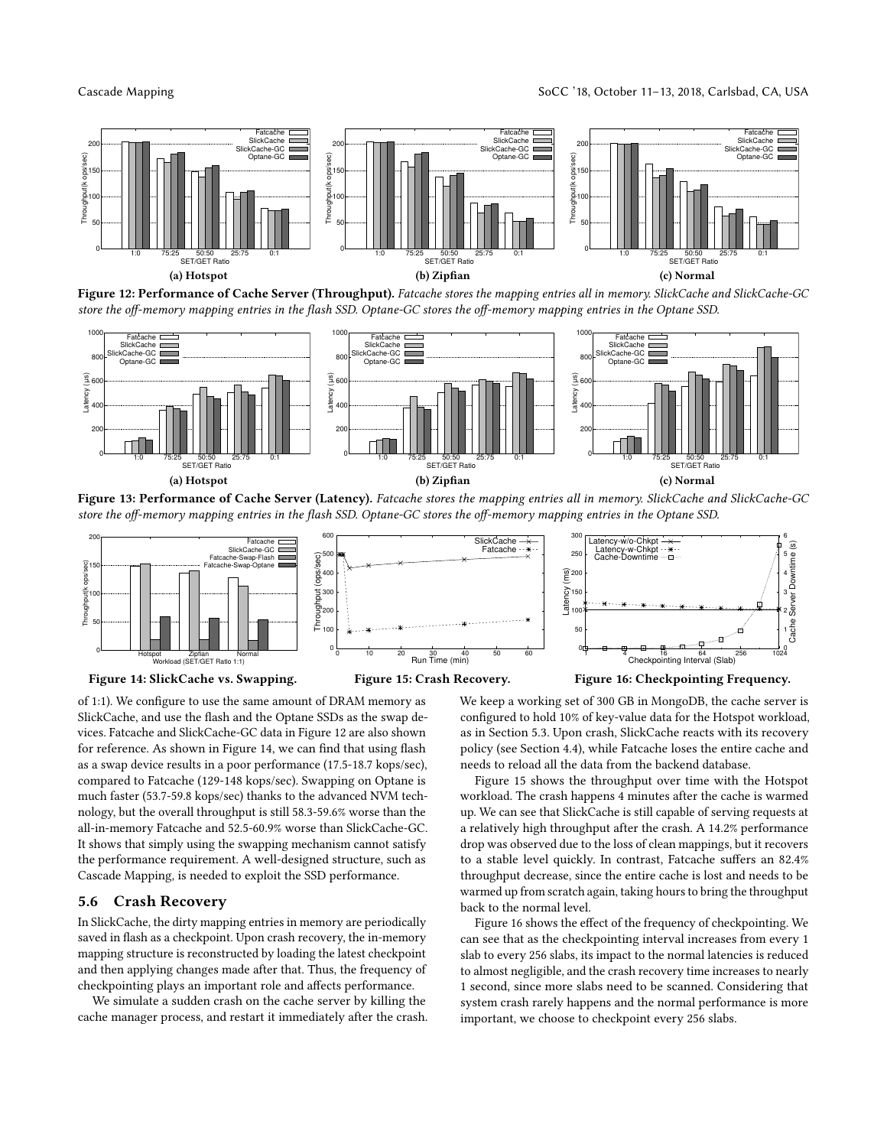

<span id="page-10-1"></span>

Figure 12: Performance of Cache Server (Throughput). Fatcache stores the mapping entries all in memory. SlickCache and SlickCache-GC store the off-memory mapping entries in the flash SSD. Optane-GC stores the off-memory mapping entries in the Optane SSD.

<span id="page-10-2"></span>

Figure 13: Performance of Cache Server (Latency). Fatcache stores the mapping entries all in memory. SlickCache and SlickCache-GC store the off-memory mapping entries in the flash SSD. Optane-GC stores the off-memory mapping entries in the Optane SSD.

<span id="page-10-3"></span>

#### Figure 14: SlickCache vs. Swapping.



Figure 16: Checkpointing Frequency.

of 1:1). We configure to use the same amount of DRAM memory as SlickCache, and use the flash and the Optane SSDs as the swap devices. Fatcache and SlickCache-GC data in Figure [12](#page-10-1) are also shown for reference. As shown in Figure [14,](#page-10-3) we can find that using flash as a swap device results in a poor performance (17.5-18.7 kops/sec), compared to Fatcache (129-148 kops/sec). Swapping on Optane is much faster (53.7-59.8 kops/sec) thanks to the advanced NVM technology, but the overall throughput is still 58.3-59.6% worse than the all-in-memory Fatcache and 52.5-60.9% worse than SlickCache-GC. It shows that simply using the swapping mechanism cannot satisfy the performance requirement. A well-designed structure, such as Cascade Mapping, is needed to exploit the SSD performance.

#### <span id="page-10-0"></span>5.6 Crash Recovery

In SlickCache, the dirty mapping entries in memory are periodically saved in flash as a checkpoint. Upon crash recovery, the in-memory mapping structure is reconstructed by loading the latest checkpoint and then applying changes made after that. Thus, the frequency of checkpointing plays an important role and affects performance.

We simulate a sudden crash on the cache server by killing the cache manager process, and restart it immediately after the crash. We keep a working set of 300 GB in MongoDB, the cache server is configured to hold 10% of key-value data for the Hotspot workload, as in Section [5.3.](#page-7-2) Upon crash, SlickCache reacts with its recovery policy (see Section [4.4\)](#page-6-1), while Fatcache loses the entire cache and needs to reload all the data from the backend database.

Figure [15](#page-10-3) shows the throughput over time with the Hotspot workload. The crash happens 4 minutes after the cache is warmed up. We can see that SlickCache is still capable of serving requests at a relatively high throughput after the crash. A 14.2% performance drop was observed due to the loss of clean mappings, but it recovers to a stable level quickly. In contrast, Fatcache suffers an 82.4% throughput decrease, since the entire cache is lost and needs to be warmed up from scratch again, taking hours to bring the throughput back to the normal level.

Figure [16](#page-10-3) shows the effect of the frequency of checkpointing. We can see that as the checkpointing interval increases from every 1 slab to every 256 slabs, its impact to the normal latencies is reduced to almost negligible, and the crash recovery time increases to nearly 1 second, since more slabs need to be scanned. Considering that system crash rarely happens and the normal performance is more important, we choose to checkpoint every 256 slabs.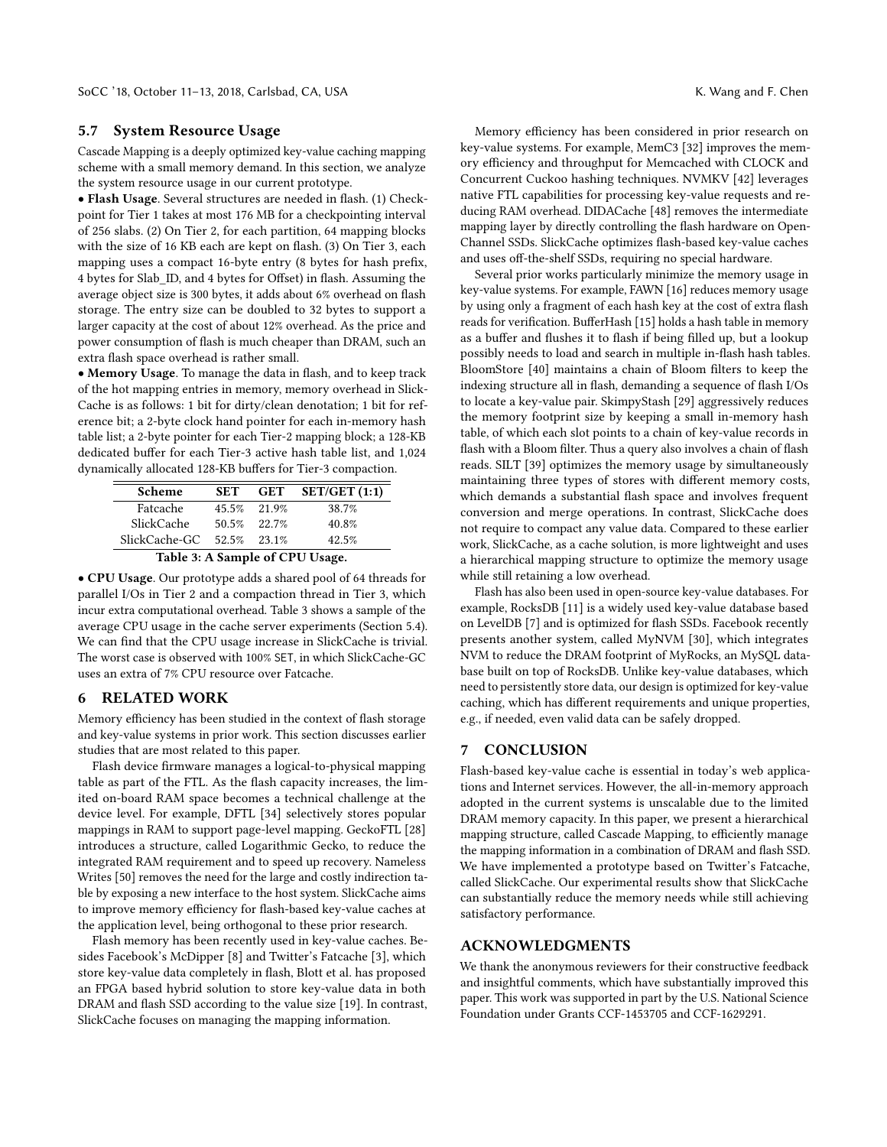## 5.7 System Resource Usage

Cascade Mapping is a deeply optimized key-value caching mapping scheme with a small memory demand. In this section, we analyze the system resource usage in our current prototype.

• Flash Usage. Several structures are needed in flash. (1) Checkpoint for Tier 1 takes at most 176 MB for a checkpointing interval of 256 slabs. (2) On Tier 2, for each partition, 64 mapping blocks with the size of 16 KB each are kept on flash. (3) On Tier 3, each mapping uses a compact 16-byte entry (8 bytes for hash prefix, 4 bytes for Slab\_ID, and 4 bytes for Offset) in flash. Assuming the average object size is 300 bytes, it adds about 6% overhead on flash storage. The entry size can be doubled to 32 bytes to support a larger capacity at the cost of about 12% overhead. As the price and power consumption of flash is much cheaper than DRAM, such an extra flash space overhead is rather small.

• Memory Usage. To manage the data in flash, and to keep track of the hot mapping entries in memory, memory overhead in Slick-Cache is as follows: 1 bit for dirty/clean denotation; 1 bit for reference bit; a 2-byte clock hand pointer for each in-memory hash table list; a 2-byte pointer for each Tier-2 mapping block; a 128-KB dedicated buffer for each Tier-3 active hash table list, and 1,024 dynamically allocated 128-KB buffers for Tier-3 compaction.

| <b>Scheme</b>             | <b>SET</b> |             | GET SET/GET $(1:1)$ |
|---------------------------|------------|-------------|---------------------|
| Fatcache                  |            | 45.5% 21.9% | 38.7%               |
| SlickCache                |            | 50.5% 22.7% | 40.8%               |
| SlickCache-GC 52.5% 23.1% |            |             | 42.5%               |



• CPU Usage. Our prototype adds a shared pool of 64 threads for parallel I/Os in Tier 2 and a compaction thread in Tier 3, which incur extra computational overhead. Table [3](#page-11-1) shows a sample of the average CPU usage in the cache server experiments (Section [5.4\)](#page-8-0). We can find that the CPU usage increase in SlickCache is trivial. The worst case is observed with 100% SET, in which SlickCache-GC uses an extra of 7% CPU resource over Fatcache.

## <span id="page-11-0"></span>6 RELATED WORK

<span id="page-11-1"></span> $\overline{a}$ 

Memory efficiency has been studied in the context of flash storage and key-value systems in prior work. This section discusses earlier studies that are most related to this paper.

Flash device firmware manages a logical-to-physical mapping table as part of the FTL. As the flash capacity increases, the limited on-board RAM space becomes a technical challenge at the device level. For example, DFTL [\[34\]](#page-12-39) selectively stores popular mappings in RAM to support page-level mapping. GeckoFTL [\[28\]](#page-12-40) introduces a structure, called Logarithmic Gecko, to reduce the integrated RAM requirement and to speed up recovery. Nameless Writes [\[50\]](#page-12-41) removes the need for the large and costly indirection table by exposing a new interface to the host system. SlickCache aims to improve memory efficiency for flash-based key-value caches at the application level, being orthogonal to these prior research.

Flash memory has been recently used in key-value caches. Besides Facebook's McDipper [\[8\]](#page-12-8) and Twitter's Fatcache [\[3\]](#page-12-9), which store key-value data completely in flash, Blott et al. has proposed an FPGA based hybrid solution to store key-value data in both DRAM and flash SSD according to the value size [\[19\]](#page-12-42). In contrast, SlickCache focuses on managing the mapping information.

Memory efficiency has been considered in prior research on key-value systems. For example, MemC3 [\[32\]](#page-12-27) improves the memory efficiency and throughput for Memcached with CLOCK and Concurrent Cuckoo hashing techniques. NVMKV [\[42\]](#page-12-43) leverages native FTL capabilities for processing key-value requests and reducing RAM overhead. DIDACache [\[48\]](#page-12-24) removes the intermediate mapping layer by directly controlling the flash hardware on Open-Channel SSDs. SlickCache optimizes flash-based key-value caches and uses off-the-shelf SSDs, requiring no special hardware.

Several prior works particularly minimize the memory usage in key-value systems. For example, FAWN [\[16\]](#page-12-44) reduces memory usage by using only a fragment of each hash key at the cost of extra flash reads for verification. BufferHash [\[15\]](#page-12-45) holds a hash table in memory as a buffer and flushes it to flash if being filled up, but a lookup possibly needs to load and search in multiple in-flash hash tables. BloomStore [\[40\]](#page-12-46) maintains a chain of Bloom filters to keep the indexing structure all in flash, demanding a sequence of flash I/Os to locate a key-value pair. SkimpyStash [\[29\]](#page-12-47) aggressively reduces the memory footprint size by keeping a small in-memory hash table, of which each slot points to a chain of key-value records in flash with a Bloom filter. Thus a query also involves a chain of flash reads. SILT [\[39\]](#page-12-48) optimizes the memory usage by simultaneously maintaining three types of stores with different memory costs, which demands a substantial flash space and involves frequent conversion and merge operations. In contrast, SlickCache does not require to compact any value data. Compared to these earlier work, SlickCache, as a cache solution, is more lightweight and uses a hierarchical mapping structure to optimize the memory usage while still retaining a low overhead.

Flash has also been used in open-source key-value databases. For example, RocksDB [\[11\]](#page-12-49) is a widely used key-value database based on LevelDB [\[7\]](#page-12-50) and is optimized for flash SSDs. Facebook recently presents another system, called MyNVM [\[30\]](#page-12-51), which integrates NVM to reduce the DRAM footprint of MyRocks, an MySQL database built on top of RocksDB. Unlike key-value databases, which need to persistently store data, our design is optimized for key-value caching, which has different requirements and unique properties, e.g., if needed, even valid data can be safely dropped.

## 7 CONCLUSION

Flash-based key-value cache is essential in today's web applications and Internet services. However, the all-in-memory approach adopted in the current systems is unscalable due to the limited DRAM memory capacity. In this paper, we present a hierarchical mapping structure, called Cascade Mapping, to efficiently manage the mapping information in a combination of DRAM and flash SSD. We have implemented a prototype based on Twitter's Fatcache, called SlickCache. Our experimental results show that SlickCache can substantially reduce the memory needs while still achieving satisfactory performance.

## ACKNOWLEDGMENTS

We thank the anonymous reviewers for their constructive feedback and insightful comments, which have substantially improved this paper. This work was supported in part by the U.S. National Science Foundation under Grants CCF-1453705 and CCF-1629291.